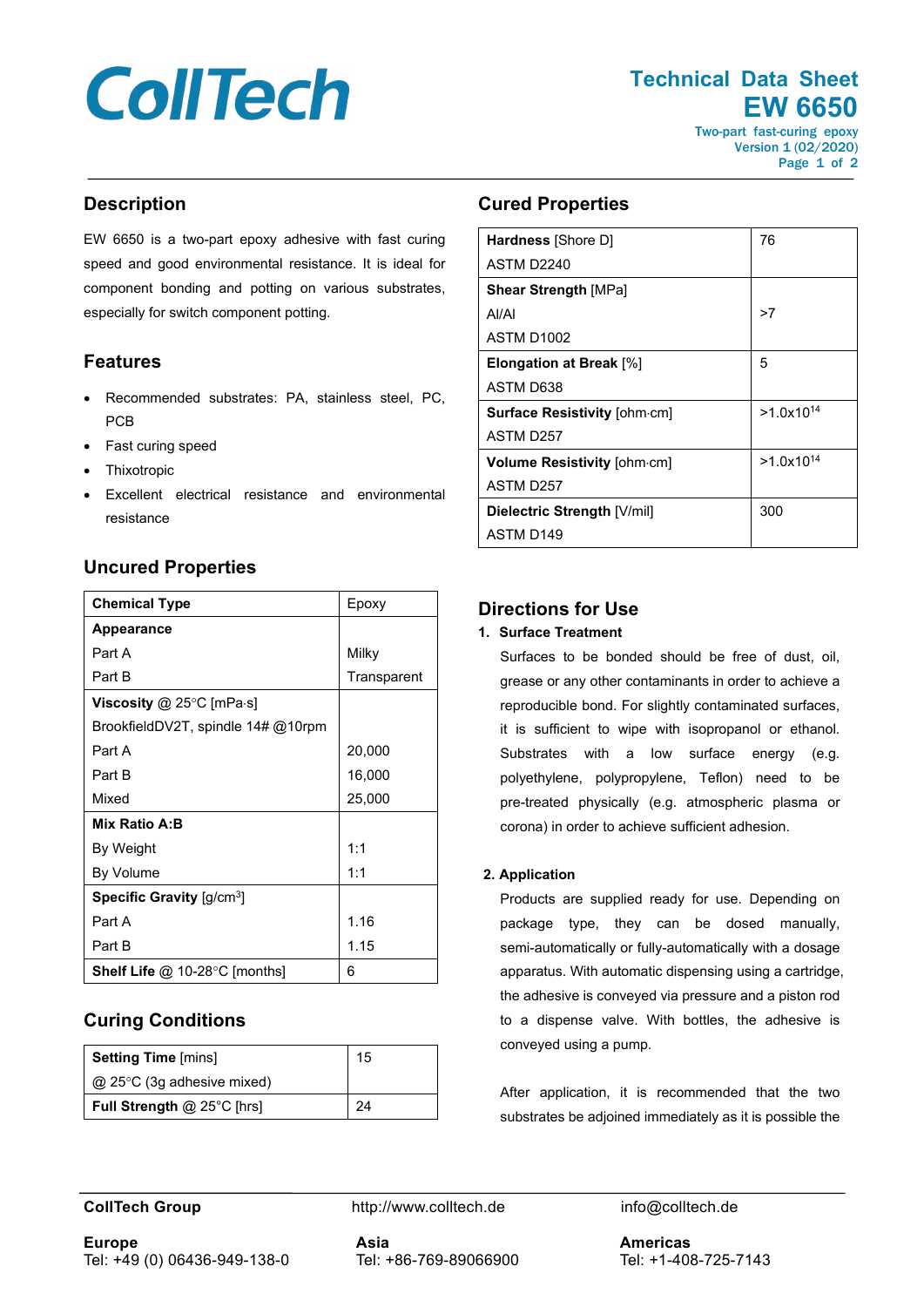# **CollTech**

**Technical Data Sheet EW 6650**

Two-part fast-curing epoxy Version 1 (02/2020) Page 1 of 2

# **Description**

EW 6650 is a two-part epoxy adhesive with fast curing speed and good environmental resistance. It is ideal for component bonding and potting on various substrates, especially for switch component potting.

# **Features**

- Recommended substrates: PA, stainless steel, PC, PCB
- Fast curing speed
- **Thixotropic**
- Excellent electrical resistance and environmental resistance

## **Uncured Properties**

| <b>Chemical Type</b>                                  | Epoxy       |
|-------------------------------------------------------|-------------|
| <b>Appearance</b>                                     |             |
| Part A                                                | Milky       |
| Part B                                                | Transparent |
| Viscosity $@$ 25 $°C$ [mPa $\cdot$ s]                 |             |
| BrookfieldDV2T, spindle $14\#$ @10rpm                 |             |
| Part A                                                | 20,000      |
| Part B                                                | 16,000      |
| Mixed                                                 | 25,000      |
| Mix Ratio A:B                                         |             |
| By Weight                                             | 1:1         |
| By Volume                                             | 1:1         |
| <b>Specific Gravity</b> $\left[\frac{q}{cm^3}\right]$ |             |
| Part A                                                | 1.16        |
| Part B                                                | 1.15        |
| <b>Shelf Life @ 10-28 °C [months]</b>                 | 6           |

# **Curing Conditions**

| <b>Setting Time [mins]</b>        | 15 |
|-----------------------------------|----|
| @ 25°C (3g adhesive mixed)        |    |
| <b>Full Strength @ 25°C [hrs]</b> | 24 |

# **Cured Properties**

| <b>Hardness</b> [Shore D]           | 76             |
|-------------------------------------|----------------|
| ASTM D2240                          |                |
| <b>Shear Strength [MPa]</b>         |                |
| Al/Al                               | >7             |
| ASTM D1002                          |                |
| Elongation at Break [%]             | 5              |
| ASTM D638                           |                |
| <b>Surface Resistivity [ohm.cm]</b> | $>1.0x10^{14}$ |
| ASTM D <sub>257</sub>               |                |
| <b>Volume Resistivity [ohm.cm]</b>  | $>1.0x10^{14}$ |
| ASTM D257                           |                |
| Dielectric Strength [V/mil]         | 300            |
| ASTM D149                           |                |

# **Directions for Use**

#### **1. Surface Treatment**

Surfaces to be bonded should be free of dust, oil, grease or any other contaminants in order to achieve a reproducible bond. For slightly contaminated surfaces, it is sufficient to wipe with isopropanol or ethanol. Substrates with a low surface energy (e.g. polyethylene, polypropylene, Teflon) need to be pre-treated physically (e.g. atmospheric plasma or corona) in order to achieve sufficient adhesion.

#### **2. Application**

Products are supplied ready for use. Depending on package type, they can be dosed manually, semi-automatically or fully-automatically with a dosage apparatus. With automatic dispensing using a cartridge, the adhesive is conveyed via pressure and a piston rod to a dispense valve. With bottles, the adhesive is conveyed using a pump.

After application, it is recommended that the two substrates be adjoined immediately as it is possible the

**CollTech Group http://www.colltech.de** info@colltech.de

**Asia** Tel: +86-769-89066900

**Americas** Tel: +1-408-725-7143

**Europe** Tel: +49 (0) 06436-949-138-0